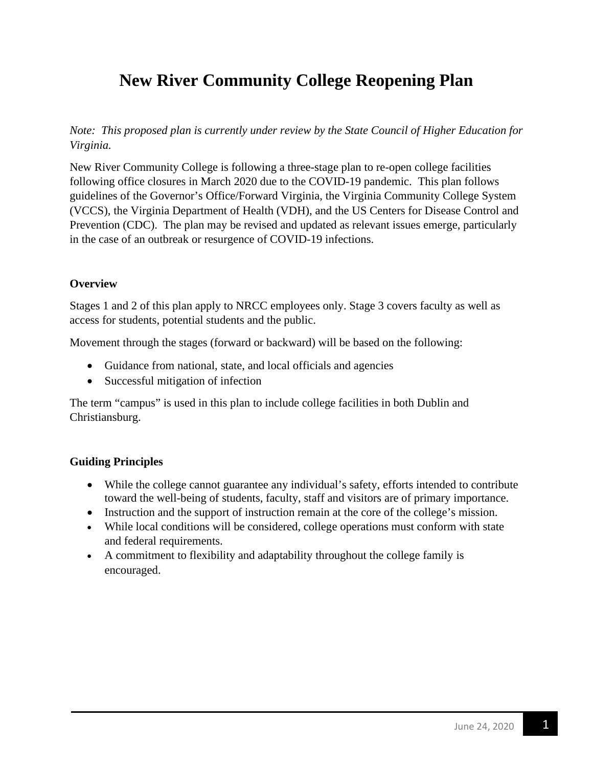# **New River Community College Reopening Plan**

*Note: This proposed plan is currently under review by the State Council of Higher Education for Virginia.*

New River Community College is following a three-stage plan to re-open college facilities following office closures in March 2020 due to the COVID-19 pandemic. This plan follows guidelines of the Governor's Office/Forward Virginia, the Virginia Community College System (VCCS), the Virginia Department of Health (VDH), and the US Centers for Disease Control and Prevention (CDC). The plan may be revised and updated as relevant issues emerge, particularly in the case of an outbreak or resurgence of COVID-19 infections.

#### **Overview**

Stages 1 and 2 of this plan apply to NRCC employees only. Stage 3 covers faculty as well as access for students, potential students and the public.

Movement through the stages (forward or backward) will be based on the following:

- Guidance from national, state, and local officials and agencies
- Successful mitigation of infection

The term "campus" is used in this plan to include college facilities in both Dublin and Christiansburg.

#### **Guiding Principles**

- While the college cannot guarantee any individual's safety, efforts intended to contribute toward the well-being of students, faculty, staff and visitors are of primary importance.
- Instruction and the support of instruction remain at the core of the college's mission.
- While local conditions will be considered, college operations must conform with state and federal requirements.
- A commitment to flexibility and adaptability throughout the college family is encouraged.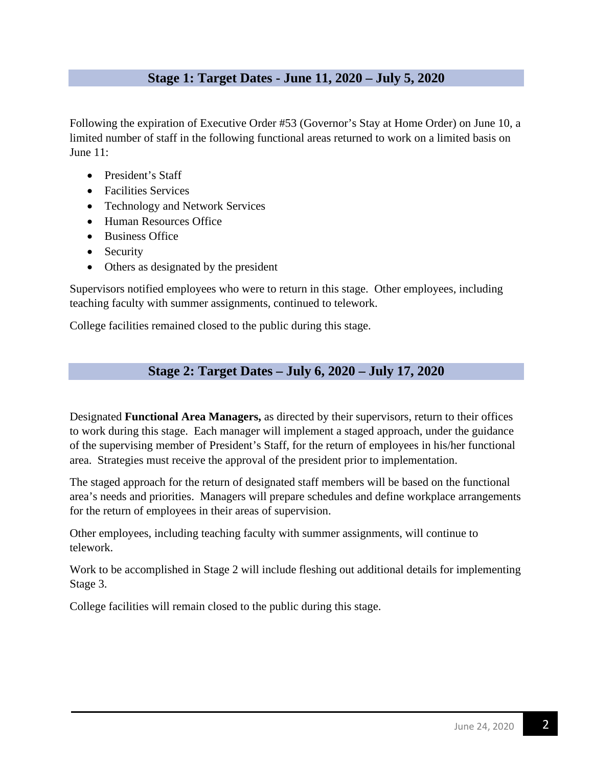#### **Stage 1: Target Dates - June 11, 2020 – July 5, 2020**

Following the expiration of Executive Order #53 (Governor's Stay at Home Order) on June 10, a limited number of staff in the following functional areas returned to work on a limited basis on June 11:

- President's Staff
- Facilities Services
- Technology and Network Services
- Human Resources Office
- Business Office
- Security
- Others as designated by the president

Supervisors notified employees who were to return in this stage. Other employees, including teaching faculty with summer assignments, continued to telework.

College facilities remained closed to the public during this stage.

#### **Stage 2: Target Dates – July 6, 2020 – July 17, 2020**

Designated **Functional Area Managers,** as directed by their supervisors, return to their offices to work during this stage. Each manager will implement a staged approach, under the guidance of the supervising member of President's Staff, for the return of employees in his/her functional area. Strategies must receive the approval of the president prior to implementation.

The staged approach for the return of designated staff members will be based on the functional area's needs and priorities. Managers will prepare schedules and define workplace arrangements for the return of employees in their areas of supervision.

Other employees, including teaching faculty with summer assignments, will continue to telework.

Work to be accomplished in Stage 2 will include fleshing out additional details for implementing Stage 3.

College facilities will remain closed to the public during this stage.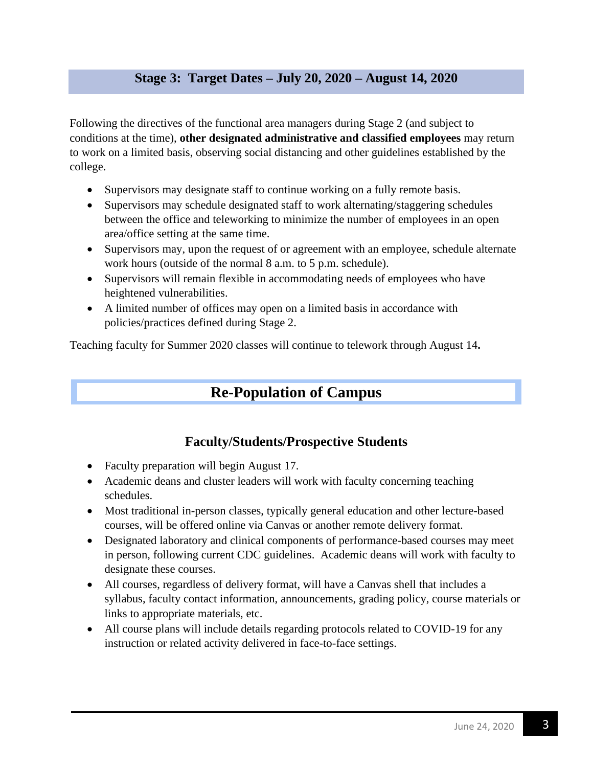### **Stage 3: Target Dates – July 20, 2020 – August 14, 2020**

Following the directives of the functional area managers during Stage 2 (and subject to conditions at the time), **other designated administrative and classified employees** may return to work on a limited basis, observing social distancing and other guidelines established by the college.

- Supervisors may designate staff to continue working on a fully remote basis.
- Supervisors may schedule designated staff to work alternating/staggering schedules between the office and teleworking to minimize the number of employees in an open area/office setting at the same time.
- Supervisors may, upon the request of or agreement with an employee, schedule alternate work hours (outside of the normal 8 a.m. to 5 p.m. schedule).
- Supervisors will remain flexible in accommodating needs of employees who have heightened vulnerabilities.
- A limited number of offices may open on a limited basis in accordance with policies/practices defined during Stage 2.

Teaching faculty for Summer 2020 classes will continue to telework through August 14**.** 

## **Re-Population of Campus**

### **Faculty/Students/Prospective Students**

- Faculty preparation will begin August 17.
- Academic deans and cluster leaders will work with faculty concerning teaching schedules.
- Most traditional in-person classes, typically general education and other lecture-based courses, will be offered online via Canvas or another remote delivery format.
- Designated laboratory and clinical components of performance-based courses may meet in person, following current CDC guidelines. Academic deans will work with faculty to designate these courses.
- All courses, regardless of delivery format, will have a Canvas shell that includes a syllabus, faculty contact information, announcements, grading policy, course materials or links to appropriate materials, etc.
- All course plans will include details regarding protocols related to COVID-19 for any instruction or related activity delivered in face-to-face settings.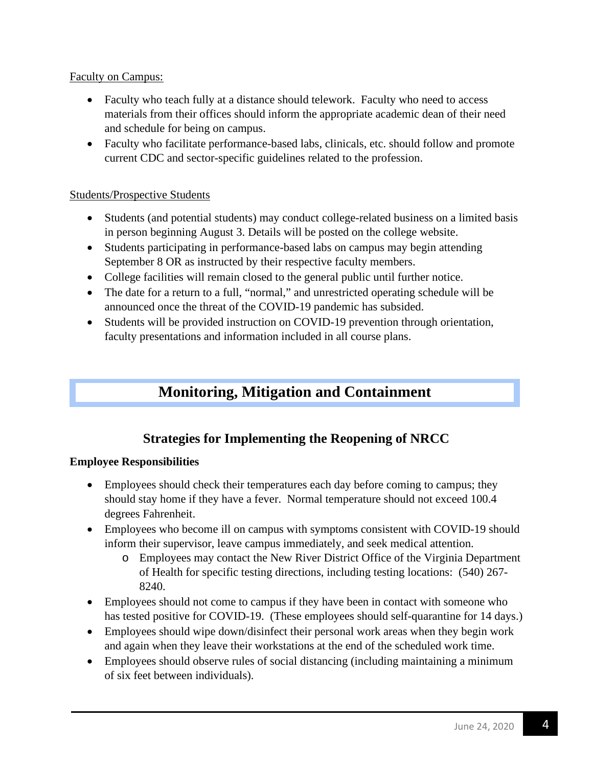#### Faculty on Campus:

- Faculty who teach fully at a distance should telework. Faculty who need to access materials from their offices should inform the appropriate academic dean of their need and schedule for being on campus.
- Faculty who facilitate performance-based labs, clinicals, etc. should follow and promote current CDC and sector-specific guidelines related to the profession.

#### Students/Prospective Students

- Students (and potential students) may conduct college-related business on a limited basis in person beginning August 3. Details will be posted on the college website.
- Students participating in performance-based labs on campus may begin attending September 8 OR as instructed by their respective faculty members.
- College facilities will remain closed to the general public until further notice.
- The date for a return to a full, "normal," and unrestricted operating schedule will be announced once the threat of the COVID-19 pandemic has subsided.
- Students will be provided instruction on COVID-19 prevention through orientation, faculty presentations and information included in all course plans.

## **Monitoring, Mitigation and Containment**

### **Strategies for Implementing the Reopening of NRCC**

#### **Employee Responsibilities**

- Employees should check their temperatures each day before coming to campus; they should stay home if they have a fever. Normal temperature should not exceed 100.4 degrees Fahrenheit.
- Employees who become ill on campus with symptoms consistent with COVID-19 should inform their supervisor, leave campus immediately, and seek medical attention.
	- o Employees may contact the New River District Office of the Virginia Department of Health for specific testing directions, including testing locations: (540) 267- 8240.
- Employees should not come to campus if they have been in contact with someone who has tested positive for COVID-19. (These employees should self-quarantine for 14 days.)
- Employees should wipe down/disinfect their personal work areas when they begin work and again when they leave their workstations at the end of the scheduled work time.
- Employees should observe rules of social distancing (including maintaining a minimum of six feet between individuals).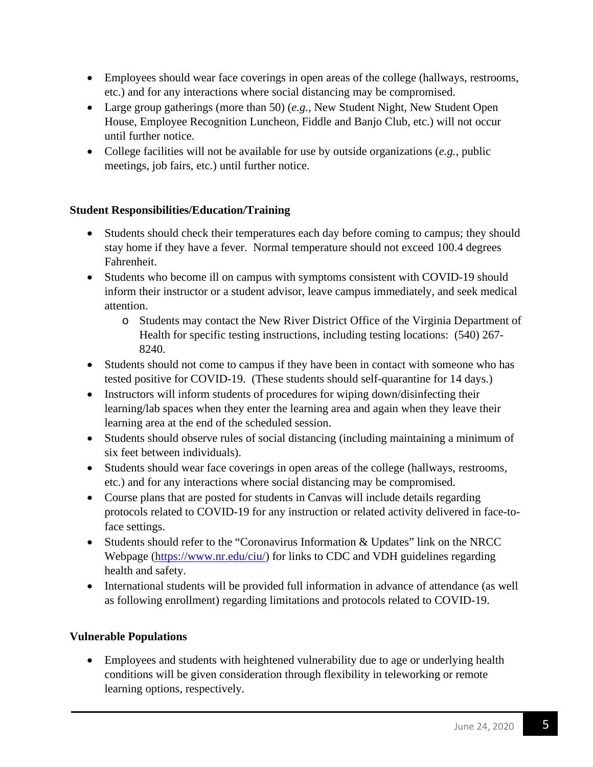- Employees should wear face coverings in open areas of the college (hallways, restrooms, etc.) and for any interactions where social distancing may be compromised.
- Large group gatherings (more than 50) (*e.g.,* New Student Night, New Student Open House, Employee Recognition Luncheon, Fiddle and Banjo Club, etc.) will not occur until further notice.
- College facilities will not be available for use by outside organizations (*e.g.*, public meetings, job fairs, etc.) until further notice.

#### **Student Responsibilities/Education/Training**

- Students should check their temperatures each day before coming to campus; they should stay home if they have a fever. Normal temperature should not exceed 100.4 degrees Fahrenheit.
- Students who become ill on campus with symptoms consistent with COVID-19 should inform their instructor or a student advisor, leave campus immediately, and seek medical attention.
	- o Students may contact the New River District Office of the Virginia Department of Health for specific testing instructions, including testing locations: (540) 267- 8240.
- Students should not come to campus if they have been in contact with someone who has tested positive for COVID-19. (These students should self-quarantine for 14 days.)
- Instructors will inform students of procedures for wiping down/disinfecting their learning/lab spaces when they enter the learning area and again when they leave their learning area at the end of the scheduled session.
- Students should observe rules of social distancing (including maintaining a minimum of six feet between individuals).
- Students should wear face coverings in open areas of the college (hallways, restrooms, etc.) and for any interactions where social distancing may be compromised.
- Course plans that are posted for students in Canvas will include details regarding protocols related to COVID-19 for any instruction or related activity delivered in face-toface settings.
- Students should refer to the "Coronavirus Information & Updates" link on the NRCC Webpage [\(https://www.nr.edu/ciu/\)](https://www.nr.edu/ciu/) for links to CDC and VDH guidelines regarding health and safety.
- International students will be provided full information in advance of attendance (as well as following enrollment) regarding limitations and protocols related to COVID-19.

#### **Vulnerable Populations**

• Employees and students with heightened vulnerability due to age or underlying health conditions will be given consideration through flexibility in teleworking or remote learning options, respectively.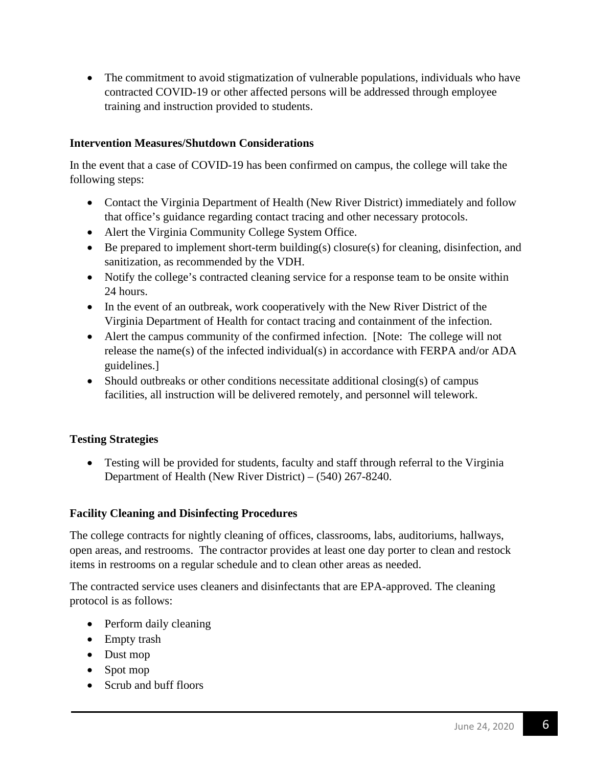• The commitment to avoid stigmatization of vulnerable populations, individuals who have contracted COVID-19 or other affected persons will be addressed through employee training and instruction provided to students.

#### **Intervention Measures/Shutdown Considerations**

In the event that a case of COVID-19 has been confirmed on campus, the college will take the following steps:

- Contact the Virginia Department of Health (New River District) immediately and follow that office's guidance regarding contact tracing and other necessary protocols.
- Alert the Virginia Community College System Office.
- Be prepared to implement short-term building(s) closure(s) for cleaning, disinfection, and sanitization, as recommended by the VDH.
- Notify the college's contracted cleaning service for a response team to be onsite within 24 hours.
- In the event of an outbreak, work cooperatively with the New River District of the Virginia Department of Health for contact tracing and containment of the infection.
- Alert the campus community of the confirmed infection. [Note: The college will not release the name(s) of the infected individual(s) in accordance with FERPA and/or ADA guidelines.]
- Should outbreaks or other conditions necessitate additional closing(s) of campus facilities, all instruction will be delivered remotely, and personnel will telework.

#### **Testing Strategies**

• Testing will be provided for students, faculty and staff through referral to the Virginia Department of Health (New River District) – (540) 267-8240.

#### **Facility Cleaning and Disinfecting Procedures**

The college contracts for nightly cleaning of offices, classrooms, labs, auditoriums, hallways, open areas, and restrooms. The contractor provides at least one day porter to clean and restock items in restrooms on a regular schedule and to clean other areas as needed.

The contracted service uses cleaners and disinfectants that are EPA-approved. The cleaning protocol is as follows:

- Perform daily cleaning
- Empty trash
- Dust mop
- Spot mop
- Scrub and buff floors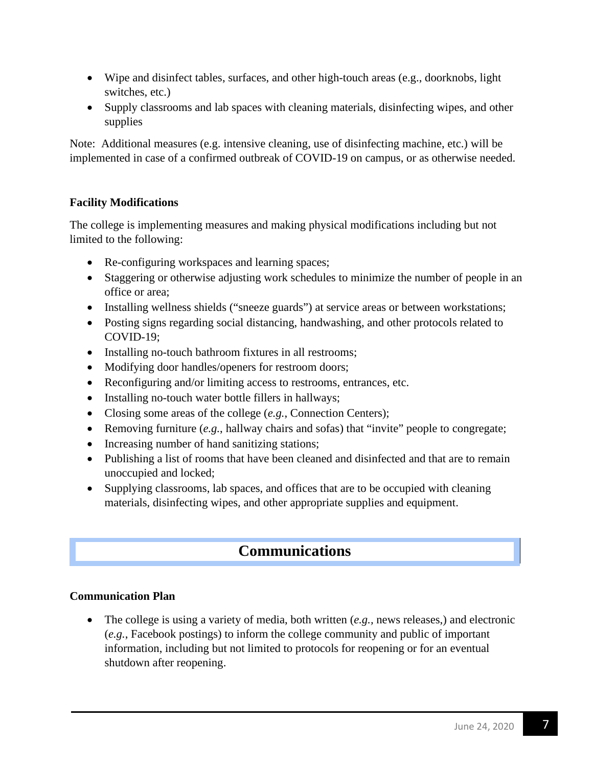- Wipe and disinfect tables, surfaces, and other high-touch areas (e.g., doorknobs, light switches, etc.)
- Supply classrooms and lab spaces with cleaning materials, disinfecting wipes, and other supplies

Note: Additional measures (e.g. intensive cleaning, use of disinfecting machine, etc.) will be implemented in case of a confirmed outbreak of COVID-19 on campus, or as otherwise needed.

#### **Facility Modifications**

The college is implementing measures and making physical modifications including but not limited to the following:

- Re-configuring workspaces and learning spaces;
- Staggering or otherwise adjusting work schedules to minimize the number of people in an office or area;
- Installing wellness shields ("sneeze guards") at service areas or between workstations;
- Posting signs regarding social distancing, handwashing, and other protocols related to COVID-19;
- Installing no-touch bathroom fixtures in all restrooms;
- Modifying door handles/openers for restroom doors;
- Reconfiguring and/or limiting access to restrooms, entrances, etc.
- Installing no-touch water bottle fillers in hallways;
- Closing some areas of the college (*e.g.*, Connection Centers);
- Removing furniture (*e.g.*, hallway chairs and sofas) that "invite" people to congregate;
- Increasing number of hand sanitizing stations;
- Publishing a list of rooms that have been cleaned and disinfected and that are to remain unoccupied and locked;
- Supplying classrooms, lab spaces, and offices that are to be occupied with cleaning materials, disinfecting wipes, and other appropriate supplies and equipment.

## **Communications**

#### **Communication Plan**

• The college is using a variety of media, both written (*e.g.*, news releases,) and electronic (*e.g.*, Facebook postings) to inform the college community and public of important information, including but not limited to protocols for reopening or for an eventual shutdown after reopening.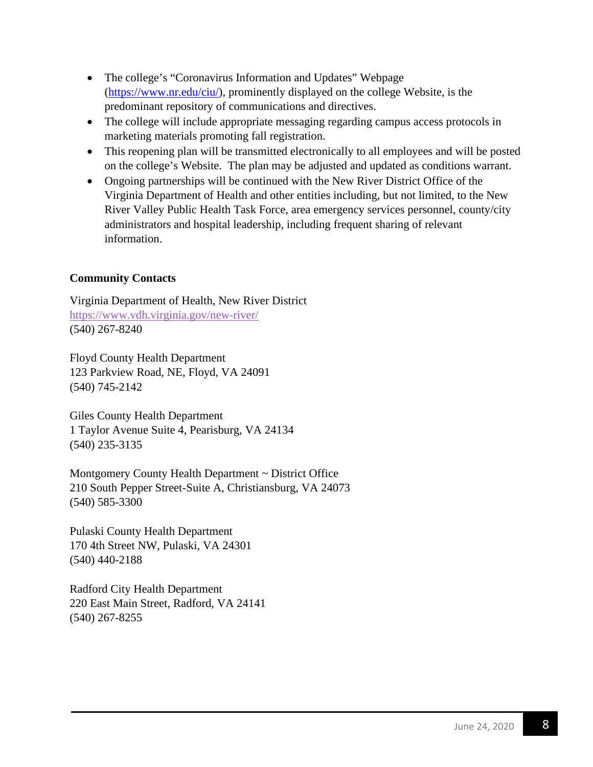- The college's "Coronavirus Information and Updates" Webpage [\(https://www.nr.edu/ciu/\)](https://www.nr.edu/ciu/), prominently displayed on the college Website, is the predominant repository of communications and directives.
- The college will include appropriate messaging regarding campus access protocols in marketing materials promoting fall registration.
- This reopening plan will be transmitted electronically to all employees and will be posted on the college's Website. The plan may be adjusted and updated as conditions warrant.
- Ongoing partnerships will be continued with the New River District Office of the Virginia Department of Health and other entities including, but not limited, to the New River Valley Public Health Task Force, area emergency services personnel, county/city administrators and hospital leadership, including frequent sharing of relevant information.

#### **Community Contacts**

Virginia Department of Health, New River District <https://www.vdh.virginia.gov/new-river/> (540) 267-8240

Floyd County Health Department 123 Parkview Road, NE, Floyd, VA 24091 (540) 745-2142

Giles County Health Department 1 Taylor Avenue Suite 4, Pearisburg, VA 24134 (540) 235-3135

Montgomery County Health Department ~ District Office 210 South Pepper Street-Suite A, Christiansburg, VA 24073 (540) 585-3300

Pulaski County Health Department 170 4th Street NW, Pulaski, VA 24301 (540) 440-2188

Radford City Health Department 220 East Main Street, Radford, VA 24141 (540) 267-8255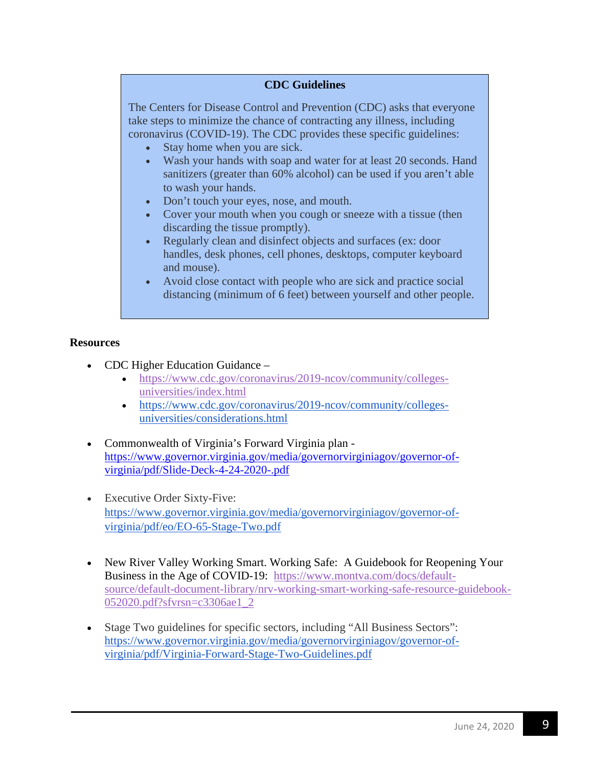#### **CDC Guidelines**

The Centers for Disease Control and Prevention (CDC) asks that everyone take steps to minimize the chance of contracting any illness, including coronavirus (COVID-19). The CDC provides these specific guidelines:

- Stay home when you are sick.
- Wash your hands with soap and water for at least 20 seconds. Hand sanitizers (greater than 60% alcohol) can be used if you aren't able to wash your hands.
- Don't touch your eyes, nose, and mouth.
- Cover your mouth when you cough or sneeze with a tissue (then discarding the tissue promptly).
- Regularly clean and disinfect objects and surfaces (ex: door handles, desk phones, cell phones, desktops, computer keyboard and mouse).
- Avoid close contact with people who are sick and practice social distancing (minimum of 6 feet) between yourself and other people.

#### **Resources**

- CDC Higher Education Guidance
	- [https://www.cdc.gov/coronavirus/2019-ncov/community/colleges](https://www.cdc.gov/coronavirus/2019-ncov/community/colleges-universities/index.html)[universities/index.html](https://www.cdc.gov/coronavirus/2019-ncov/community/colleges-universities/index.html)
	- [https://www.cdc.gov/coronavirus/2019-ncov/community/colleges](https://www.cdc.gov/coronavirus/2019-ncov/community/colleges-universities/considerations.html)[universities/considerations.html](https://www.cdc.gov/coronavirus/2019-ncov/community/colleges-universities/considerations.html)
- Commonwealth of Virginia's Forward Virginia plan  [https://www.governor.virginia.gov/media/governorvirginiagov/governor-of](https://www.governor.virginia.gov/media/governorvirginiagov/governor-of-virginia/pdf/Slide-Deck-4-24-2020-.pdf)[virginia/pdf/Slide-Deck-4-24-2020-.pdf](https://www.governor.virginia.gov/media/governorvirginiagov/governor-of-virginia/pdf/Slide-Deck-4-24-2020-.pdf)
- Executive Order Sixty-Five: [https://www.governor.virginia.gov/media/governorvirginiagov/governor-of](https://www.governor.virginia.gov/media/governorvirginiagov/governor-of-virginia/pdf/eo/EO-65-Phase-Two.pdf)[virginia/pdf/eo/EO-65-Stage-Two.pdf](https://www.governor.virginia.gov/media/governorvirginiagov/governor-of-virginia/pdf/eo/EO-65-Phase-Two.pdf)
- New River Valley Working Smart. Working Safe: A Guidebook for Reopening Your Business in the Age of COVID-19: [https://www.montva.com/docs/default](https://www.montva.com/docs/default-source/default-document-library/nrv-working-smart-working-safe-resource-guidebook-052020.pdf?sfvrsn=c3306ae1_2)[source/default-document-library/nrv-working-smart-working-safe-resource-guidebook-](https://www.montva.com/docs/default-source/default-document-library/nrv-working-smart-working-safe-resource-guidebook-052020.pdf?sfvrsn=c3306ae1_2)[052020.pdf?sfvrsn=c3306ae1\\_2](https://www.montva.com/docs/default-source/default-document-library/nrv-working-smart-working-safe-resource-guidebook-052020.pdf?sfvrsn=c3306ae1_2)
- Stage Two guidelines for specific sectors, including "All Business Sectors": [https://www.governor.virginia.gov/media/governorvirginiagov/governor-of](https://www.governor.virginia.gov/media/governorvirginiagov/governor-of-virginia/pdf/Virginia-Forward-Phase-Two-Guidelines.pdf)[virginia/pdf/Virginia-Forward-Stage-Two-Guidelines.pdf](https://www.governor.virginia.gov/media/governorvirginiagov/governor-of-virginia/pdf/Virginia-Forward-Phase-Two-Guidelines.pdf)